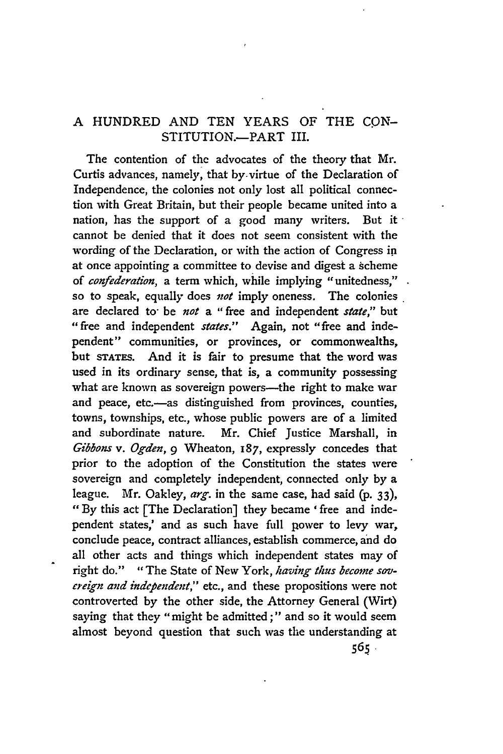# A HUNDRED AND TEN YEARS OF THE CON-STITUTION.-PART III.

The contention of the advocates of the theory that Mr. Curtis advances, namely, that by-virtue of the Declaration of Independence, the colonies not only lost all political connection with Great Britain, but their people became united into a nation, has the support of a good many writers. But it cannot be denied that it does not seem consistent with the wording of the Declaration, or with the action of Congress in at once appointing a committee to devise and digest a scheme of *confederation,* a term which, while implying "unitedness," so to speak, equally does *not* imply oneness. The colonies are declared to- be *not* a "free and independent *state,"* but "free and independent *states.*" Again, not "free and independent" communities, or provinces, or commonwealths, but STATES. And it is fair to presume that the word was used in its ordinary sense, that is, a community possessing what are known as sovereign powers-the right to make war and peace, etc.-as distinguished from provinces, counties, towns, townships, etc., whose public powers are of a limited and subordinate nature. Mr. Chief Justice Marshall, in *Gibbons v. Ogden,* 9 Wheaton, 187, expressly concedes that prior to the adoption of the Constitution the states were sovereign and completely independent, connected only by a league. Mr. Oakley, *arg.* in the same case, had said (p. 33), "By this act [The Declaration] they became ' free and independent states,' and as such have full power to levy war, conclude peace, contract alliances, establish commerce, and do all other acts and things which independent states may of right do." "The State of New York, *having thus become sovereign and independent,"* etc., and these propositions were not controverted by the other side, the Attorney General (Wirt) saying that they "might be admitted;" and so it would seem almost beyond question that such was the understanding at **565.**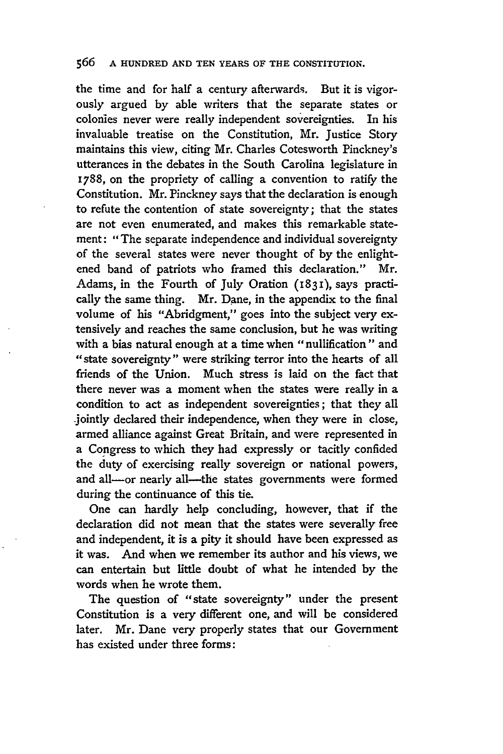the time and for half a century afterwards. But it is vigorously argued by able writers that the separate states or colonies never were really independent sovereignties. In his invaluable treatise on the Constitution, Mr. Justice Story maintains this view, citing Mr. Charles Cotesworth Pinckney's utterances in the debates in the South Carolina legislature in 1788, on the propriety of calling a convention to ratify the Constitution. Mr. Pinckney says that the declaration is enough to refute the contention of state sovereignty; that the states are not even enumerated, and makes this remarkable statement: "The separate independence and individual sovereignty of the several states were never thought of by the enlightened band of patriots who framed this declaration." Mr. Adams, in the Fourth of July Oration (1831), says practically the same thing. Mr. Dane, in the appendix to the final volume of his "Abridgment," goes into the subject very extensively and reaches the same conclusion, but he was writing with a bias natural enough at a time when "nullification" and "state sovereignty" were striking terror into the hearts of all friends of the Union. Much stress is laid on the fact that there never was a moment when the states were really in a condition to act as independent sovereignties; that they all .jointly declared their independence, when they were in close, armed alliance against Great Britain, and were represented in a Congress to which they had expressly or tacitly confided the duty of exercising really sovereign or national powers, and all-or nearly all-the states governments were formed during the continuance of this tie.

One can hardly help concluding, however, that if the declaration did not mean that the states were severally free and independent, it is a pity it should have been expressed as it was. And when we remember its author and his views, we can entertain but little doubt of what he intended by the words when he wrote them.

The question of "state sovereignty" under the present Constitution is a very different one, and will be considered later. Mr. Dane very properly states that our Government has existed under three forms: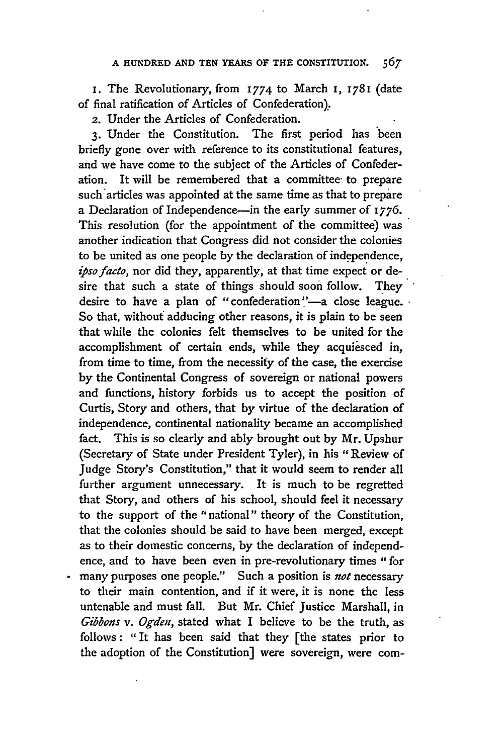**i.** The Revolutionary, from **1774** to March **I, 1781** (date of final ratification of Articles of Confederation),

2. Under the Articles of Confederation.

3. Under the Constitution. The first period has been briefly gone over with reference to its constitutional features, and we have come to the subject of the Articles of Confederation. It will be remembered that a committee to prepare such'articles was appointed at the same time as that to prepare a Declaration of Independence-in the early summer of *1776.* This resolution (for the appointment of the committee) was another indication that Congress did not consider the colonies to be united as one people by the declaration of independence, *ipsofacto,* nor did they, apparently, at that time expect or desire that such a state of things should soon follow. They desire to have a plan of "confederation"-a close league. So that, without adducing other reasons, it is plain to be seen that while the colonies felt themselves to be united for the accomplishment of certain ends, while they acquiesced in, from time to time, from the necessity of the case, the exercise by the Continental Congress of sovereign or national powers and functions, history forbids us to accept the position of Curtis, Story and others, that by virtue of the declaration of independence, continental nationality became an accomplished fact. This is so clearly and ably brought out by Mr. Upshur (Secretary of State under President Tyler), in his "Review of Judge Story's Constitution," that it would seem to render all further argument unnecessary. It is much to be regretted that Story, and others of his school, should feel it necessary to the support of the "national" theory of the Constitution, that the colonies should be said to have been merged, except as to their domestic concerns, by the declaration of independence, and to have been even in pre-revolutionary times "for **-** many purposes one people." Such a position is *not* necessary to their main contention, and if it were, it is none the less untenable and must fall. But Mr. Chief Justice Marshall, in *Gibbons v. Ogden,* stated what I believe to be the truth, as follows: "It has been said that they [the states prior to the adoption of the Constitution] were sovereign, were com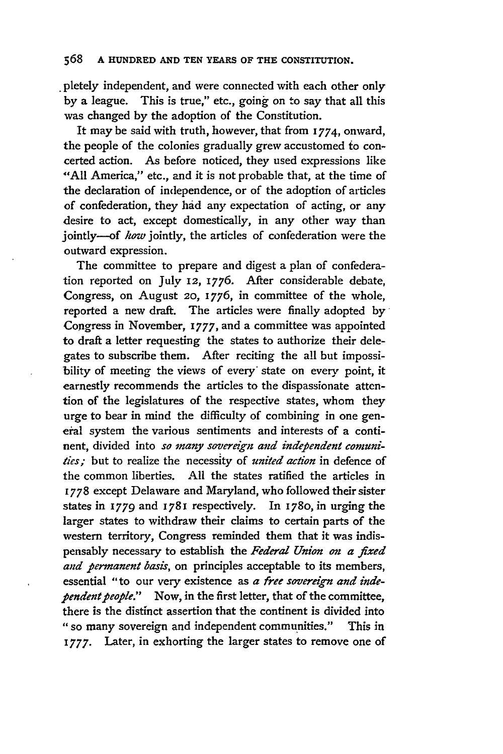pletely independent, and were connected with each other only **by** a league. This is true," etc., going on to say that all this was changed **by** the adoption of the Constitution.

It may be said with truth, however, that from **1774,** onward, the people of the colonies gradually grew accustomed **to** concerted action. As before noticed, they used expressions like **"All** America," etc., and it is not probable that, at the time of the declaration of independence, or of the adoption of articles of confederation, they **had** any expectation of acting, or any desire to act, except domestically, in any other way than jointly--of how jointly, the articles of confederation were the outward expression.

The committee to prepare and digest a plan of confederation reported on **July** 12, 1776. After considerable debate, Congress, on August **20, 1776,** in committee of the whole, reported a new draft. The articles were finally adopted **by** Congress in November, **1777,** and a committee was appointed to draft a letter requesting the states to authorize their delegates to subscribe them. After reciting the all but impossibility of meeting the views of every state on every point, it earnestly recommends the articles to the dispassionate attention of the legislatures of the respective states, whom they urge to bear in mind the difficulty of combining in **one gen**eral system the various sentiments and interests of a continent, divided into so many sovereign *and independent comuni*ties; but to realize the necessity of *united action* in defence of the common liberties. All the states ratified the articles in 1778 except Delaware and Maryland, who followed their sister states in **1779** and **1781** respectively. In 1780, in urging the larger states to withdraw their claims to certain parts of the western territory, Congress reminded them that it was indispensably necessary to establish the *Federal Union on a fixed and permanent basis,* on principles acceptable to its members, essential "to our very existence as *a free sovereign and independent people."* Now, in the first letter, that of the committee, there is the distinct assertion that the continent is divided into "so many sovereign and independent communities." This in **1777.** Later, in exhorting the larger states to remove one of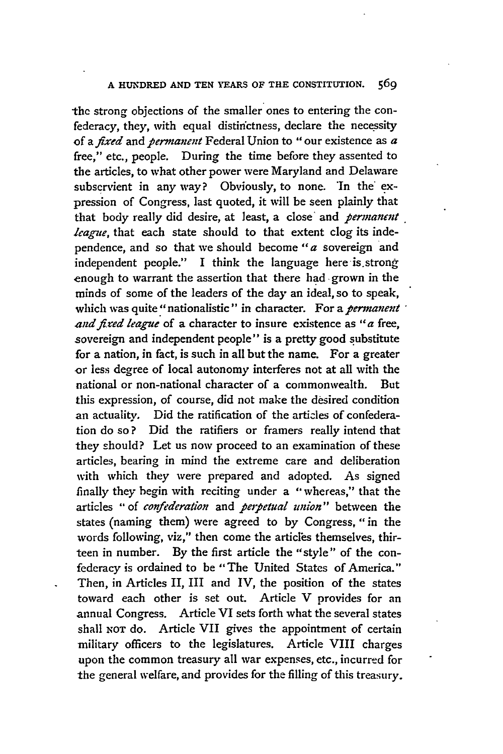the strong objections of the smaller ones to entering the confederacy, they, with equal distinctness, declare the necessity of *afixed* and permanent Federal Union to "our existence as *a* free," etc., people. During the time before they assented to the articles, to what other power were Maryland and Delaware subservient in any way? Obviously, to none. Tn the expression of Congress, last quoted, it will be seen plainly that that body really did desire, at least, a close and *permanent leagte,* that each state should to that extent clog its independence, and so that we should become " $a$  sovereign and independent people." I think the language here is strong enough to warrant the assertion that there had grown in the minds of some of the leaders of the day an ideal, so to speak, which was quite "nationalistic" in character. For a *permanent* and fixed league of a character to insure existence as "a free, sovereign and independent people" is a pretty good substitute for a nation, in fact, is such in all but the name. For a greater or less degree of local autonomy interferes not at all with the national or non-national character of a commonwealth. But this expression, of course, did not make the desired condition an actuality. Did the ratification of the articles of confederation do so? Did the ratifiers or framers really intend that they should? Let us now proceed to an examination of these articles, bearing in mind the extreme care and deliberation with which they were prepared and adopted. As signed finally they begin with reciting under a "whereas," that the articles "of confederation and perpetual *union"* between the states (naming them) were agreed to by Congress, "in the words following, viz," then come the articles themselves, thirteen in number. By the first article the "style" of the confederacy is ordained to be "The United States of America." Then, in Articles II, III and IV, the position of the states toward each other is set out. Article V provides for an annual Congress. Article VI sets forth what the several states shall **NOT** do. Article VII gives the appointment of certain military officers to the legislatures. Article VIII charges upon the common treasury all war expenses, etc., incurred for the general welfare, and provides for the filling of this treasury.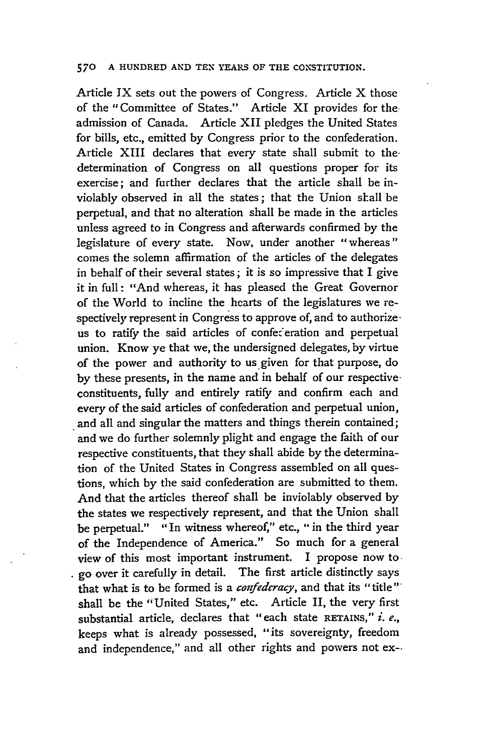Article IX sets out the powers of Congress. Article X those of the "Committee of States." Article XI provides for the. admission of Canada. Article XII pledges the United States for bills, etc., emitted by Congress prior to the confederation. Article XIII declares that every state shall submit to thedetermination of Congress on all questions proper for its exercise; and further declares that the article shall be inviolably observed in all the states; that the Union shall be perpetual, and that no alteration shall be made in the articles unless agreed to in Congress and afterwards confirmed by the legislature of every state. Now, under another "whereas" comes the solemn affirmation of the articles of the delegates in behalf of their several states; it is so impressive that I give it in full: "And whereas, it has pleased the Great Governor of the World to incline the hearts of the legislatures we respectively represent in Congress to approve of, and to authorizeus to ratify the said articles of confederation and perpetual union. Know ye that we, the undersigned delegates, by virtue of the power and authority to us given for that purpose, do by these presents, in the name and in behalf of our respective . constituents, fully and entirely ratify and confirm each and every of the said articles of confederation and perpetual union, and all and singular the matters and things therein contained; and we do further solemnly plight and engage the faith of our respective constituents, that they shall abide by the determination of the United States in Congress assembled on all questions, which by the said confederation are submitted to them. And that the articles thereof shall be inviolably observed by the states we respectively represent, and that the Union shall be perpetual." "In witness whereof," etc., " in the third year of the Independence of America." So much for a general view of this most important instrument. I propose now to \* go over it carefully in detail. The first article distinctly says that what is to be formed is a *confederacy*, and that its "title" shall be the "United States," etc. Article II, the very first substantial article, declares that "each state **RETAINS,"** *i. e.,* keeps what is already possessed, "its sovereignty, freedom and independence," and all other rights and powers not ex--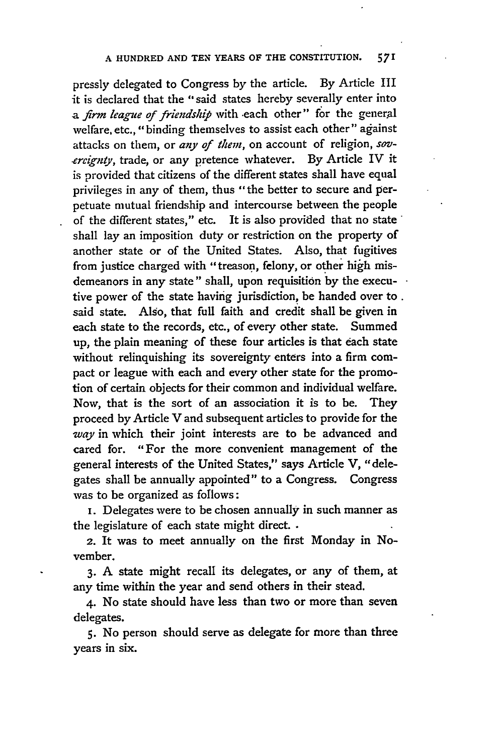pressly delegated to Congress by the article. **By** Article III it is declared that the "said states hereby severally enter into *a firm league of friendship* with .each other" for the general welfare, etc., "binding themselves to assist each other" against attacks on them, or *any of theyn,* on account of religion, *soy- ,ereignty,* trade, or any pretence whatever. **By** Article IV it is provided that citizens of the different states shall have equal privileges in any of them, thus "the better to secure and perpetuate mutual friendship and intercourse between the people of the different states," etc. It is also provided that no state shall lay an imposition duty or restriction on the property of another state or of the United States. Also, that fugitives from justice charged with "treason, felony, or other high misdemeanors in any state" shall, upon requisition by the executive power of the state having jurisdiction, be handed over to. said state. Also, that full faith and credit shall be given in each state to the records, etc., of every other state. Summed up, the plain meaning of these four articles is that each state without relinquishing its sovereignty enters into a firm compact or league with each and every other state for the promotion of certain objects for their common and individual welfare. Now, that is the sort of an association it is to be. They proceed by Article V and subsequent articles to provide for the *way* in which their joint interests are to be advanced and cared for. "For the more convenient management of the general interests of the United States," says Article V, "delegates shall be annually appointed" to a Congress. Congress was to be organized as follows:

i. Delegates were to be chosen annually in such manner as the legislature of each state might direct. .

**2.** It was to meet annually on the first Monday in November.

**3.** A state might recall its delegates, or any of them, at any time within the year and send others in their stead.

4. No state should have less than two or more than seven delegates.

**5.** No person should serve as delegate for more than three years in six.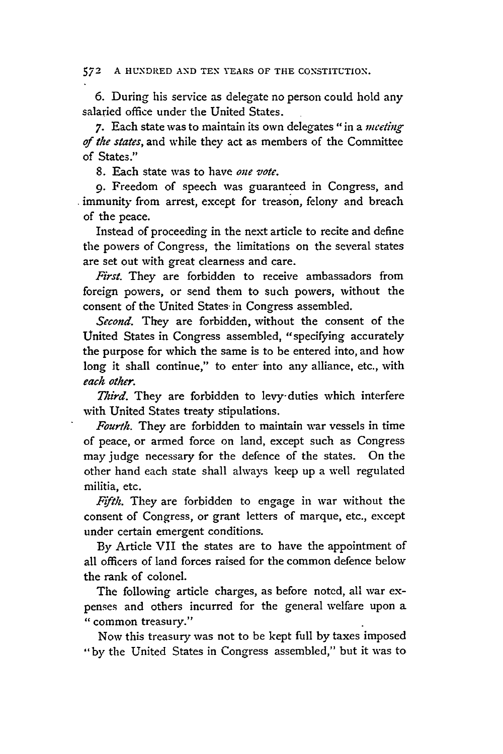6. During his service as delegate no person could hold any salaried office under the United States.

**7.** Each state was to maintain its own delegates "in a *meeting of the states,* and while they act as members of the Committee of States."

8. Each state was to have *one vote.*

9. Freedom of speech was guaranteed in Congress, and immunity from arrest, except for treason, felony and breach of the peace.

Instead of proceeding in the next article to recite and define the powers of Congress, the limitations on the several states are set out with great clearness and care.

*First.* They are forbidden to receive ambassadors from foreign powers, or send them to such powers, without the consent of the United States in Congress assembled.

*Second.* They are forbidden, without the consent of the United States in Congress assembled, "specifying accurately the purpose for which the same is to be entered into, and how long it shall continue," to enter into any alliance, etc., with *each other.*

*Third.* They are forbidden to levy-duties which interfere with United States treaty stipulations.

*Fourth.* They are forbidden to maintain war vessels in time of peace, or armed force on land, except such as Congress may judge necessary for the defence of the states. On the other hand each state shall always keep up a well regulated militia, etc.

*Fifth.* They are forbidden to engage in war without the consent of Congress, or grant letters of marque, etc., except under certain emergent conditions.

By Article VII the states are to have the appointment of all officers of land forces raised for the common defence below the rank of colonel.

The following article charges, as before noted, all war expenses and others incurred for the general welfare upon a " common treasury."

Now this treasury was not to be kept full by taxes imposed "by the United States in Congress assembled," but it was to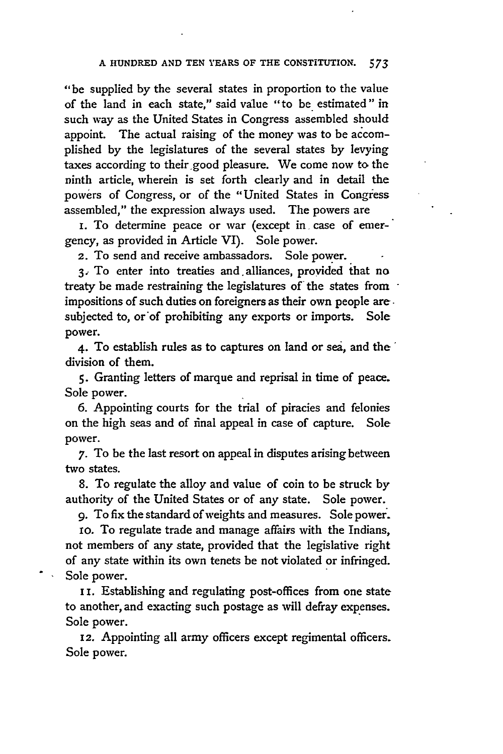"be supplied **by** the several states in proportion to the value of the land in each state," said value "to be estimated" in such way as the United States in Congress assembled should appoint. The actual raising of the money was to be accomplished **by** the legislatures of the several states **by** levying taxes according to their good pleasure. We come now to the ninth article, wherein is set forth clearly and in detail the powers of Congress, or of the "United States in Congress assembled," the expression always used. The powers are

**I.** To determine peace or war (except in, case of emergency, as provided in Article VI). Sole power.

2. To send and receive ambassadors. Sole power.

3 To enter into treaties and alliances, provided that no treaty be made restraining the legislatures of the states from impositions of such duties on foreigners as their own people are. subjected to, or'of prohibiting any exports or imports. Sole power.

4. To establish rules as to captures on land or sea, and the' division of them.

**5.** Granting letters of marque and reprisal in time of peace. Sole power.

6. Appointing courts for the trial of piracies and felonies on the high seas and of final appeal in case of capture. Sole power.

**7.** To be the last resort on appeal in disputes arising between two states.

8. To regulate the alloy and value of coin to be struck by authority of the United States or of any state. Sole power.

*9.* To fix the standard of weights and measures. Sole power.

**IO.** To regulate trade and manage affairs with the Indians, not members of any state, provided that the legislative right of any state within its own tenets be not violated or infringed. Sole power.

I **I.** Establishing and regulating post-offices from one state to another, and exacting such postage as will defray expenses. Sole power.

12. Appointing all army officers except regimental officers. Sole power.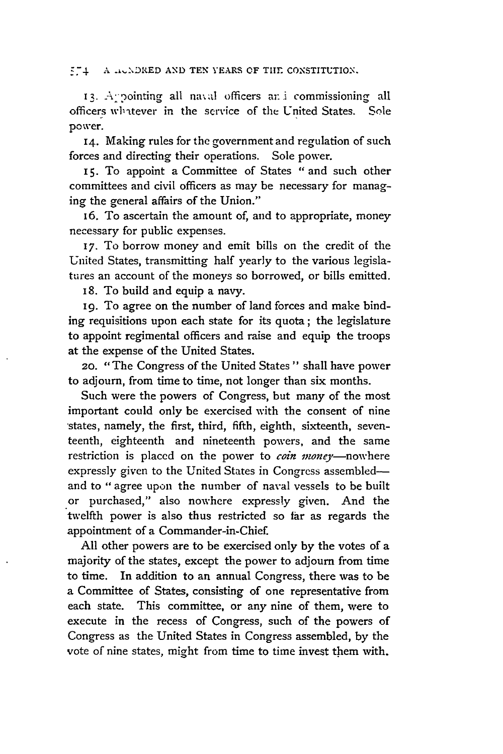13. A pointing all naval officers and commissioning all officers wlvitever in the service of the United States. Sole power.

14. Making rules for the government and regulation of such forces and directing their operations. Sole power.

**15.** To appoint a Committee of States "and such other committees and civil officers as may be necessary for managing the general affairs of the Union."

16. To ascertain the amount of, and to appropriate, money necessary for public expenses.

17. To borrow money and emit bills on the credit of the United States, transmitting half yearly to the various legislatures an account of the moneys so borrowed, or bills emitted.

**18.** To build and equip a navy.

**19.** To agree on the number of land forces and make binding requisitions upon each state for its quota; the legislature to appoint regimental officers and raise and equip the troops at the expense of the United States.

20. "The Congress of the United States" shall have power to adjourn, from time to time, not longer than six months.

Such were the powers of Congress, but many of the most important could only be exercised with the consent of nine states, namely, the first, third, fifth, eighth, sixteenth, seventeenth, eighteenth and nineteenth powers, and the same restriction is placed on the power to *coin money-nowhere* expressly given to the United States in Congress assembledand to "agree upon the number of naval vessels to be built or purchased," also nowhere expressly given. And the twelfth power is also thus restricted so far as regards the appointment of a Commander-in-Chief.

All other powers are to be exercised only by the votes of a majority of the states, except the power to adjourn from time to time. In addition to an annual Congress, there was to be a Committee of States, consisting of one representative from each state. This committee, or any nine of them, were to execute in the recess of Congress, such of the powers of Congress as the United States in Congress assembled, by the vote of nine states, might from time to time invest them with.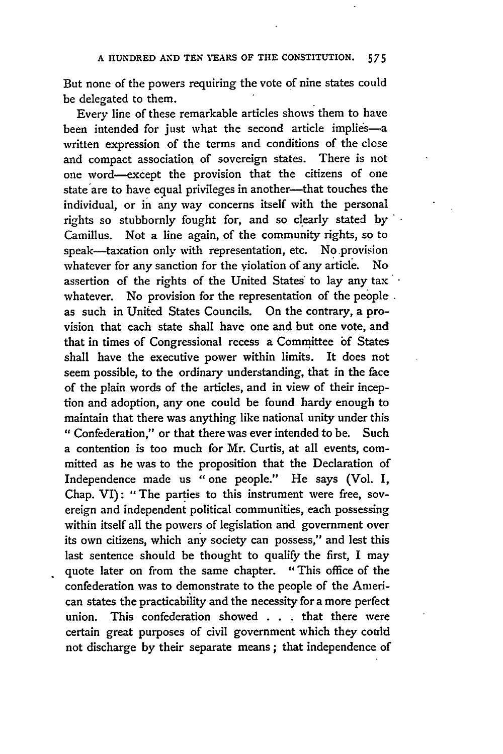But none of the powers requiring the vote of nine states could be delegated to them.

Every line of these remarkable articles shows them to have been intended for just what the second article implies-a written expression of the terms and conditions of the close and compact association of sovereign states. There is not one word--except the provision that the citizens of one state are to have equal privileges in another-that touches the individual, or in any way concerns itself with the personal rights so stubbornly fought for, and so clearly stated by Camillus. Not a line again, of the community rights, so to speak-taxation only with representation, etc. No provision whatever for any sanction for the violation of any article. No assertion of the rights of the United States to lay any tax whatever. No provision for the representation of the people. as such in United States Councils. On the contrary, a provision that each state shall have one and but one vote, and that in times of Congressional recess a Committee **of** States shall have the executive power within limits. It does not seem possible, to the ordinary understanding, that in the face of the plain words of the articles, and in view of their inception and adoption, any one could be found hardy enough to maintain that there was anything like national unity under this " Confederation," or that there was ever intended to be. Such a contention is too much for Mr. Curtis, at all events, committed as he was to the proposition that the Declaration of Independence made us "one people." He says (Vol. I, Chap. VI): "The parties to this instrument were free, sovereign and independent political communities, each possessing within itself all the powers of legislation and government over its own citizens, which any society can possess," and lest this last sentence should be thought to qualify the first, I may quote later on from the same chapter. "This office of the confederation was to demonstrate to the people of the American states the practicability and the necessity for a more perfect union. This confederation showed **. . .** that there were certain great purposes of civil government which they could not discharge **by** their separate means; that independence of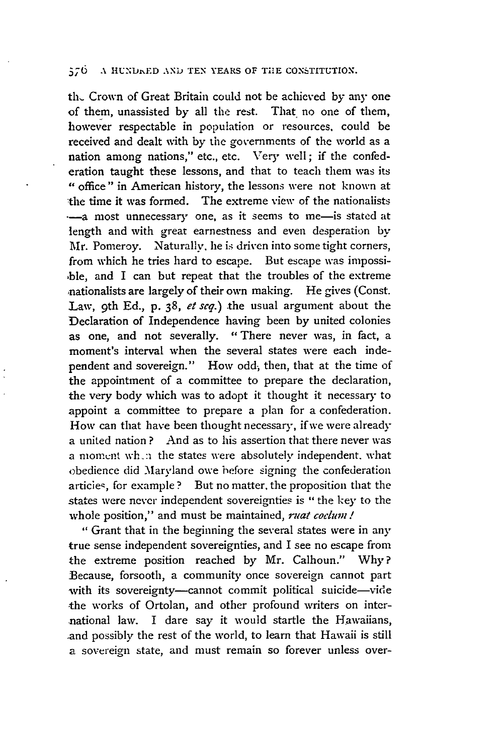th- Crown of Great Britain could not be achieved **by** any one of them, unassisted by all the rest. That no one of them, however respectable in population or resources, could be received and dealt with by the governments of the world as a nation among nations," etc., etc. Very well; if the confederation taught these lessons, and that to teach them was its *"* office" in American history, the lessons were not known at -the time it was formed. The extreme view of the nationalists -- a most unnecessary one, as it seems to me-is stated at length and with great earnestness and even desperation by Mr. Pomeroy. Naturally. he is driven into some tight corners, from which he tries hard to escape. But escape was impossi- ,ble, and I can but repeat that the troubles of the extreme ,nationalists are largely of their own making. He gives (Const. Law, 9th Ed., p. 38, et seq.) the usual argument about the Declaration of Independence having been by united colonies as one, and not severally. "There never was, in fact, a moment's interval when the several states were each independent and sovereign." How odd, then, that at the time of the appointment of a committee to prepare the declaration, the very body which was to adopt it thought it necessary to appoint a committee to prepare a plan for a confederation. How can that have been thought necessary, if we were already a united nation ? And as to his assertion that there never was a moment when the states were absolutely independent, what obedience did Maryland owe before signing the confederation articies, for example ? But no matter, the proposition that the states were ncvcr independent sovereignties is " the key to the whole position," and must be maintained, *ruat colum !*

"Grant that in the beginning the several states were in any true sense independent sovereignties, and I see no escape from the extreme position reached by Mr. Calhoun." Why? Because, forsooth, a community once sovereign cannot part with its sovereignty-cannot commit political suicide-vide the works of Ortolan, and other profound writers on international law. I dare say it would startle the Hawaiians, ,and possibly the rest of the world, to learn that Hawaii is still a sovereign state, and must remain so forever unless over